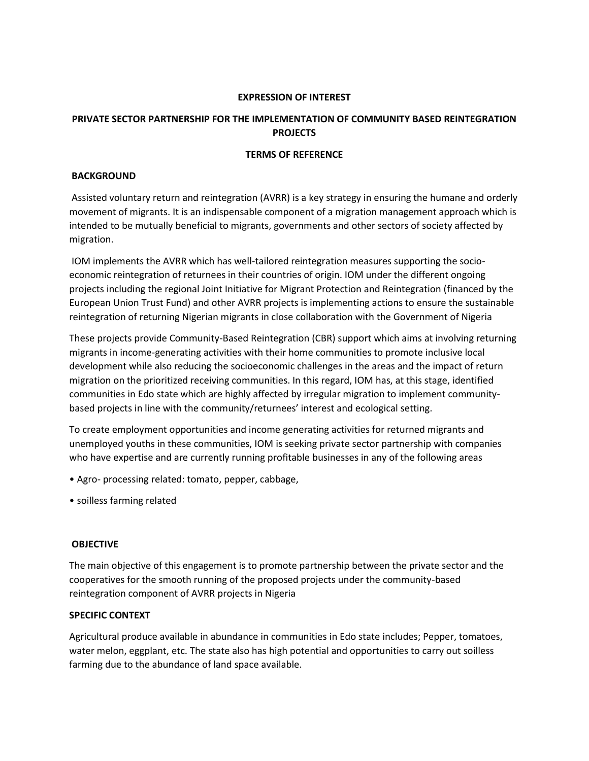#### **EXPRESSION OF INTEREST**

# **PRIVATE SECTOR PARTNERSHIP FOR THE IMPLEMENTATION OF COMMUNITY BASED REINTEGRATION PROJECTS**

### **TERMS OF REFERENCE**

### **BACKGROUND**

Assisted voluntary return and reintegration (AVRR) is a key strategy in ensuring the humane and orderly movement of migrants. It is an indispensable component of a migration management approach which is intended to be mutually beneficial to migrants, governments and other sectors of society affected by migration.

IOM implements the AVRR which has well-tailored reintegration measures supporting the socioeconomic reintegration of returnees in their countries of origin. IOM under the different ongoing projects including the regional Joint Initiative for Migrant Protection and Reintegration (financed by the European Union Trust Fund) and other AVRR projects is implementing actions to ensure the sustainable reintegration of returning Nigerian migrants in close collaboration with the Government of Nigeria

These projects provide Community-Based Reintegration (CBR) support which aims at involving returning migrants in income-generating activities with their home communities to promote inclusive local development while also reducing the socioeconomic challenges in the areas and the impact of return migration on the prioritized receiving communities. In this regard, IOM has, at this stage, identified communities in Edo state which are highly affected by irregular migration to implement communitybased projects in line with the community/returnees' interest and ecological setting.

To create employment opportunities and income generating activities for returned migrants and unemployed youths in these communities, IOM is seeking private sector partnership with companies who have expertise and are currently running profitable businesses in any of the following areas

- Agro- processing related: tomato, pepper, cabbage,
- soilless farming related

## **OBJECTIVE**

The main objective of this engagement is to promote partnership between the private sector and the cooperatives for the smooth running of the proposed projects under the community-based reintegration component of AVRR projects in Nigeria

#### **SPECIFIC CONTEXT**

Agricultural produce available in abundance in communities in Edo state includes; Pepper, tomatoes, water melon, eggplant, etc. The state also has high potential and opportunities to carry out soilless farming due to the abundance of land space available.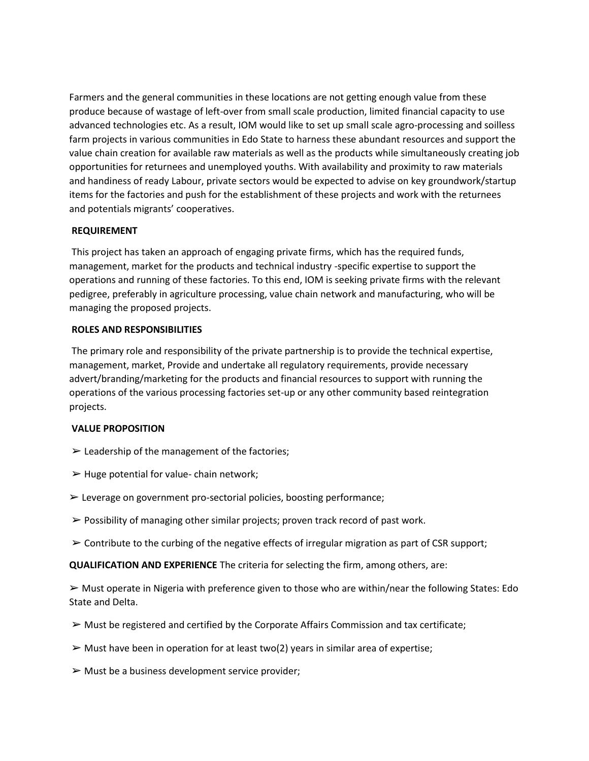Farmers and the general communities in these locations are not getting enough value from these produce because of wastage of left-over from small scale production, limited financial capacity to use advanced technologies etc. As a result, IOM would like to set up small scale agro-processing and soilless farm projects in various communities in Edo State to harness these abundant resources and support the value chain creation for available raw materials as well as the products while simultaneously creating job opportunities for returnees and unemployed youths. With availability and proximity to raw materials and handiness of ready Labour, private sectors would be expected to advise on key groundwork/startup items for the factories and push for the establishment of these projects and work with the returnees and potentials migrants' cooperatives.

## **REQUIREMENT**

This project has taken an approach of engaging private firms, which has the required funds, management, market for the products and technical industry -specific expertise to support the operations and running of these factories. To this end, IOM is seeking private firms with the relevant pedigree, preferably in agriculture processing, value chain network and manufacturing, who will be managing the proposed projects.

## **ROLES AND RESPONSIBILITIES**

The primary role and responsibility of the private partnership is to provide the technical expertise, management, market, Provide and undertake all regulatory requirements, provide necessary advert/branding/marketing for the products and financial resources to support with running the operations of the various processing factories set-up or any other community based reintegration projects.

# **VALUE PROPOSITION**

- $\triangleright$  Leadership of the management of the factories;
- $\blacktriangleright$  Huge potential for value- chain network;
- ➢ Leverage on government pro-sectorial policies, boosting performance;
- $\triangleright$  Possibility of managing other similar projects; proven track record of past work.
- $\triangleright$  Contribute to the curbing of the negative effects of irregular migration as part of CSR support;

**QUALIFICATION AND EXPERIENCE** The criteria for selecting the firm, among others, are:

 $\triangleright$  Must operate in Nigeria with preference given to those who are within/near the following States: Edo State and Delta.

- $\triangleright$  Must be registered and certified by the Corporate Affairs Commission and tax certificate;
- $\triangleright$  Must have been in operation for at least two(2) years in similar area of expertise;
- $\triangleright$  Must be a business development service provider;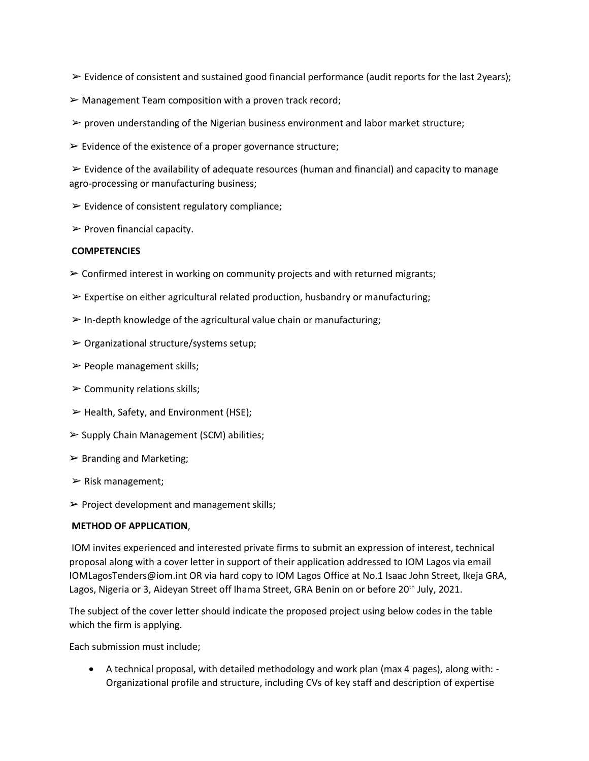- $\triangleright$  Evidence of consistent and sustained good financial performance (audit reports for the last 2years);
- $\triangleright$  Management Team composition with a proven track record;
- $\triangleright$  proven understanding of the Nigerian business environment and labor market structure;
- $\triangleright$  Evidence of the existence of a proper governance structure;

 $\triangleright$  Evidence of the availability of adequate resources (human and financial) and capacity to manage agro-processing or manufacturing business;

- $\triangleright$  Evidence of consistent regulatory compliance;
- $\triangleright$  Proven financial capacity.

## **COMPETENCIES**

- $\triangleright$  Confirmed interest in working on community projects and with returned migrants;
- $\triangleright$  Expertise on either agricultural related production, husbandry or manufacturing;
- $\triangleright$  In-depth knowledge of the agricultural value chain or manufacturing;
- $\triangleright$  Organizational structure/systems setup;
- $\triangleright$  People management skills;
- $\triangleright$  Community relations skills;
- $\triangleright$  Health, Safety, and Environment (HSE);
- $\triangleright$  Supply Chain Management (SCM) abilities;
- $\triangleright$  Branding and Marketing;
- $\triangleright$  Risk management;
- $\triangleright$  Project development and management skills;

## **METHOD OF APPLICATION**,

IOM invites experienced and interested private firms to submit an expression of interest, technical proposal along with a cover letter in support of their application addressed to IOM Lagos via email IOMLagosTenders@iom.int OR via hard copy to IOM Lagos Office at No.1 Isaac John Street, Ikeja GRA, Lagos, Nigeria or 3, Aideyan Street off Ihama Street, GRA Benin on or before 20<sup>th</sup> July, 2021.

The subject of the cover letter should indicate the proposed project using below codes in the table which the firm is applying.

Each submission must include;

• A technical proposal, with detailed methodology and work plan (max 4 pages), along with: - Organizational profile and structure, including CVs of key staff and description of expertise